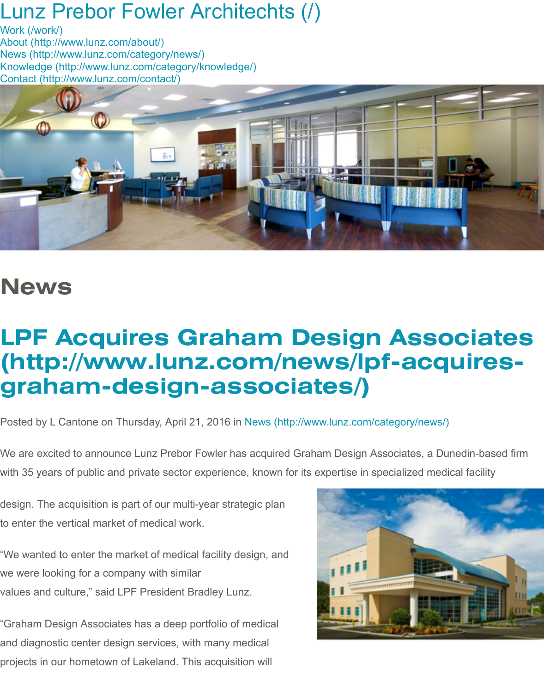

## **News**

## **LPF Acquires Graham Design Assoc** (http://www.lunz.com/news/lpf-acqu **graham-design-associates/)**

Posted by L Cantone on Thursday, April 21, 2016 in News (http://www.lunz.com/category/news/)

We are excited to announce Lunz Prebor Fowler has acquired Graham Design Associates, a Dune with 35 years of public and private sector experience, known for its expertise in specialized medical

design. The acquisition is part of our multi-year strategic plan to enter the vertical market of medical work.

"We wanted to enter the market of medical facility design, and we were looking for a company with similar values and culture," said LPF President Bradley Lunz.

"Graham Design Associates has a deep portfolio of medical and diagnostic center design services, with many medical projects in our hometown of Lakeland. This acquisition will